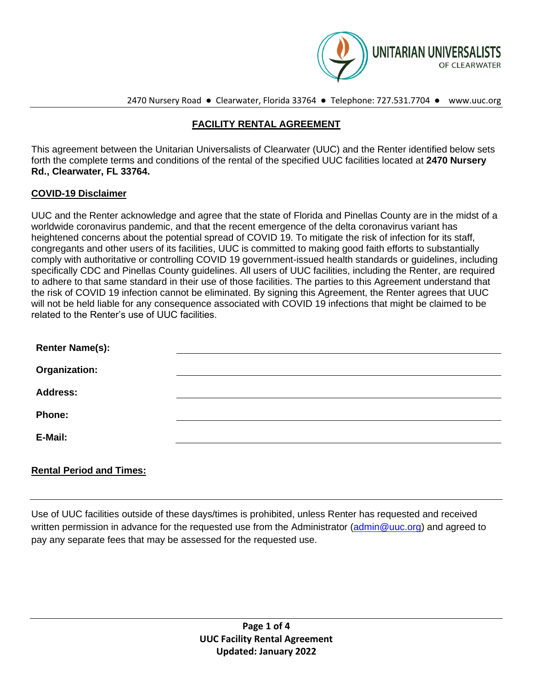

2470 Nursery Road ● Clearwater, Florida 33764 ● Telephone: 727.531.7704 ● www.uuc.org

# **FACILITY RENTAL AGREEMENT**

This agreement between the Unitarian Universalists of Clearwater (UUC) and the Renter identified below sets forth the complete terms and conditions of the rental of the specified UUC facilities located at **2470 Nursery Rd., Clearwater, FL 33764.**

#### **COVID-19 Disclaimer**

UUC and the Renter acknowledge and agree that the state of Florida and Pinellas County are in the midst of a worldwide coronavirus pandemic, and that the recent emergence of the delta coronavirus variant has heightened concerns about the potential spread of COVID 19. To mitigate the risk of infection for its staff, congregants and other users of its facilities, UUC is committed to making good faith efforts to substantially comply with authoritative or controlling COVID 19 government-issued health standards or guidelines, including specifically CDC and Pinellas County guidelines. All users of UUC facilities, including the Renter, are required to adhere to that same standard in their use of those facilities. The parties to this Agreement understand that the risk of COVID 19 infection cannot be eliminated. By signing this Agreement, the Renter agrees that UUC will not be held liable for any consequence associated with COVID 19 infections that might be claimed to be related to the Renter's use of UUC facilities.

| <b>Renter Name(s):</b> |  |
|------------------------|--|
| Organization:          |  |
| <b>Address:</b>        |  |
| <b>Phone:</b>          |  |
| E-Mail:                |  |
|                        |  |

## **Rental Period and Times:**

Use of UUC facilities outside of these days/times is prohibited, unless Renter has requested and received written permission in advance for the requested use from the Administrator [\(admin@uuc.org\)](file:///C:/Users/UUC%20Office%20Manager/Downloads/admin@uuc.org) and agreed to pay any separate fees that may be assessed for the requested use.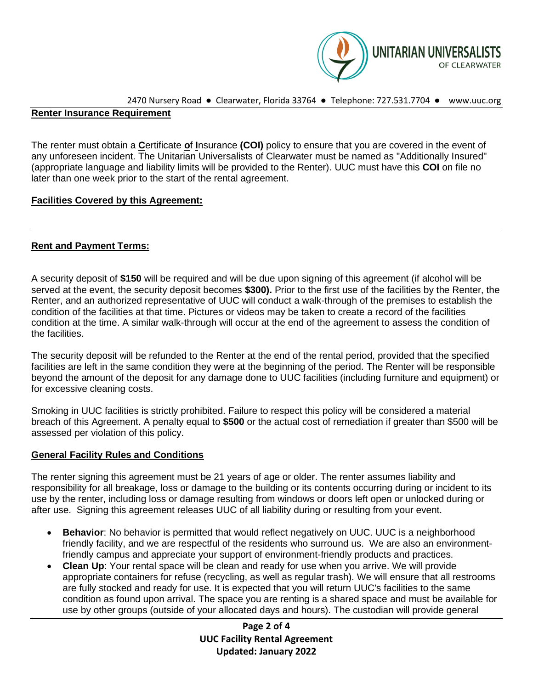

```
2470 Nursery Road ● Clearwater, Florida 33764 ● Telephone: 727.531.7704 ● www.uuc.org
```
#### **Renter Insurance Requirement**

The renter must obtain a **C**ertificate **o**f **I**nsurance **(COI)** policy to ensure that you are covered in the event of any unforeseen incident. The Unitarian Universalists of Clearwater must be named as "Additionally Insured" (appropriate language and liability limits will be provided to the Renter). UUC must have this **COI** on file no later than one week prior to the start of the rental agreement.

## **Facilities Covered by this Agreement:**

## **Rent and Payment Terms:**

A security deposit of **\$150** will be required and will be due upon signing of this agreement (if alcohol will be served at the event, the security deposit becomes **\$300).** Prior to the first use of the facilities by the Renter, the Renter, and an authorized representative of UUC will conduct a walk-through of the premises to establish the condition of the facilities at that time. Pictures or videos may be taken to create a record of the facilities condition at the time. A similar walk-through will occur at the end of the agreement to assess the condition of the facilities.

The security deposit will be refunded to the Renter at the end of the rental period, provided that the specified facilities are left in the same condition they were at the beginning of the period. The Renter will be responsible beyond the amount of the deposit for any damage done to UUC facilities (including furniture and equipment) or for excessive cleaning costs.

Smoking in UUC facilities is strictly prohibited. Failure to respect this policy will be considered a material breach of this Agreement. A penalty equal to **\$500** or the actual cost of remediation if greater than \$500 will be assessed per violation of this policy.

## **General Facility Rules and Conditions**

The renter signing this agreement must be 21 years of age or older. The renter assumes liability and responsibility for all breakage, loss or damage to the building or its contents occurring during or incident to its use by the renter, including loss or damage resulting from windows or doors left open or unlocked during or after use. Signing this agreement releases UUC of all liability during or resulting from your event.

- **Behavior**: No behavior is permitted that would reflect negatively on UUC. UUC is a neighborhood friendly facility, and we are respectful of the residents who surround us. We are also an environmentfriendly campus and appreciate your support of environment-friendly products and practices.
- **Clean Up**: Your rental space will be clean and ready for use when you arrive. We will provide appropriate containers for refuse (recycling, as well as regular trash). We will ensure that all restrooms are fully stocked and ready for use. It is expected that you will return UUC's facilities to the same condition as found upon arrival. The space you are renting is a shared space and must be available for use by other groups (outside of your allocated days and hours). The custodian will provide general

**Page 2 of 4 UUC Facility Rental Agreement Updated: January 2022**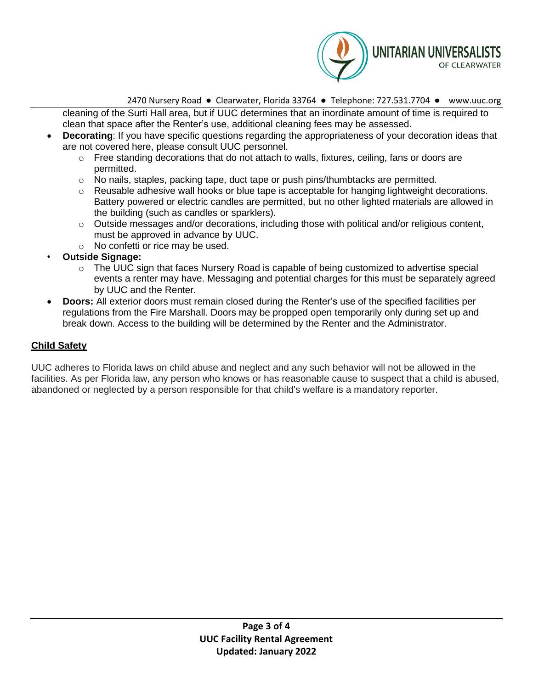

2470 Nursery Road ● Clearwater, Florida 33764 ● Telephone: 727.531.7704 ● www.uuc.org

cleaning of the Surti Hall area, but if UUC determines that an inordinate amount of time is required to clean that space after the Renter's use, additional cleaning fees may be assessed.

- **Decorating**: If you have specific questions regarding the appropriateness of your decoration ideas that are not covered here, please consult UUC personnel.
	- o Free standing decorations that do not attach to walls, fixtures, ceiling, fans or doors are permitted.
	- $\circ$  No nails, staples, packing tape, duct tape or push pins/thumbtacks are permitted.
	- $\circ$  Reusable adhesive wall hooks or blue tape is acceptable for hanging lightweight decorations. Battery powered or electric candles are permitted, but no other lighted materials are allowed in the building (such as candles or sparklers).
	- $\circ$  Outside messages and/or decorations, including those with political and/or religious content, must be approved in advance by UUC.
	- o No confetti or rice may be used.
- **Outside Signage:**
	- o The UUC sign that faces Nursery Road is capable of being customized to advertise special events a renter may have. Messaging and potential charges for this must be separately agreed by UUC and the Renter.
- **Doors:** All exterior doors must remain closed during the Renter's use of the specified facilities per regulations from the Fire Marshall. Doors may be propped open temporarily only during set up and break down. Access to the building will be determined by the Renter and the Administrator.

# **Child Safety**

UUC adheres to Florida laws on child abuse and neglect and any such behavior will not be allowed in the facilities. As per Florida law, any person who knows or has reasonable cause to suspect that a child is abused, abandoned or neglected by a person responsible for that child's welfare is a mandatory reporter.